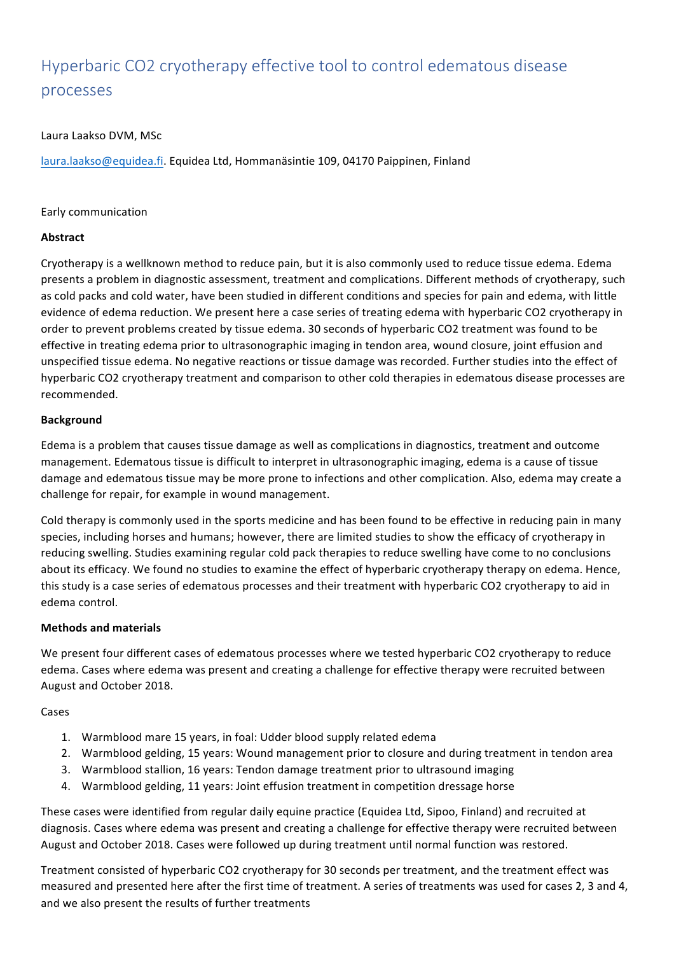# Hyperbaric CO2 cryotherapy effective tool to control edematous disease processes

# Laura Laakso DVM, MSc

laura.laakso@equidea.fi. Equidea Ltd, Hommanäsintie 109, 04170 Paippinen, Finland

# Early communication

# **Abstract**

Cryotherapy is a wellknown method to reduce pain, but it is also commonly used to reduce tissue edema. Edema presents a problem in diagnostic assessment, treatment and complications. Different methods of cryotherapy, such as cold packs and cold water, have been studied in different conditions and species for pain and edema, with little evidence of edema reduction. We present here a case series of treating edema with hyperbaric CO2 cryotherapy in order to prevent problems created by tissue edema. 30 seconds of hyperbaric CO2 treatment was found to be effective in treating edema prior to ultrasonographic imaging in tendon area, wound closure, joint effusion and unspecified tissue edema. No negative reactions or tissue damage was recorded. Further studies into the effect of hyperbaric CO2 cryotherapy treatment and comparison to other cold therapies in edematous disease processes are recommended.

### **Background**

Edema is a problem that causes tissue damage as well as complications in diagnostics, treatment and outcome management. Edematous tissue is difficult to interpret in ultrasonographic imaging, edema is a cause of tissue damage and edematous tissue may be more prone to infections and other complication. Also, edema may create a challenge for repair, for example in wound management.

Cold therapy is commonly used in the sports medicine and has been found to be effective in reducing pain in many species, including horses and humans; however, there are limited studies to show the efficacy of cryotherapy in reducing swelling. Studies examining regular cold pack therapies to reduce swelling have come to no conclusions about its efficacy. We found no studies to examine the effect of hyperbaric cryotherapy therapy on edema. Hence, this study is a case series of edematous processes and their treatment with hyperbaric CO2 cryotherapy to aid in edema control. 

### **Methods and materials**

We present four different cases of edematous processes where we tested hyperbaric CO2 cryotherapy to reduce edema. Cases where edema was present and creating a challenge for effective therapy were recruited between August and October 2018.

### Cases

- 1. Warmblood mare 15 years, in foal: Udder blood supply related edema
- 2. Warmblood gelding, 15 years: Wound management prior to closure and during treatment in tendon area
- 3. Warmblood stallion, 16 years: Tendon damage treatment prior to ultrasound imaging
- 4. Warmblood gelding, 11 years: Joint effusion treatment in competition dressage horse

These cases were identified from regular daily equine practice (Equidea Ltd, Sipoo, Finland) and recruited at diagnosis. Cases where edema was present and creating a challenge for effective therapy were recruited between August and October 2018. Cases were followed up during treatment until normal function was restored.

Treatment consisted of hyperbaric CO2 cryotherapy for 30 seconds per treatment, and the treatment effect was measured and presented here after the first time of treatment. A series of treatments was used for cases 2, 3 and 4, and we also present the results of further treatments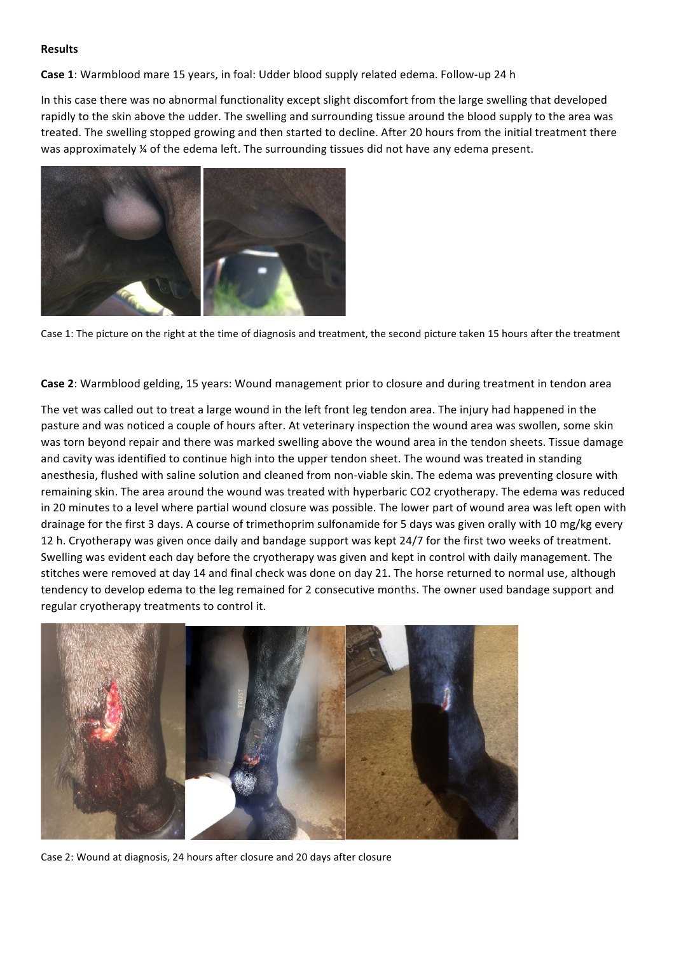#### **Results**

**Case 1:** Warmblood mare 15 years, in foal: Udder blood supply related edema. Follow-up 24 h

In this case there was no abnormal functionality except slight discomfort from the large swelling that developed rapidly to the skin above the udder. The swelling and surrounding tissue around the blood supply to the area was treated. The swelling stopped growing and then started to decline. After 20 hours from the initial treatment there was approximately  $\frac{1}{4}$  of the edema left. The surrounding tissues did not have any edema present.



Case 1: The picture on the right at the time of diagnosis and treatment, the second picture taken 15 hours after the treatment

**Case 2**: Warmblood gelding, 15 years: Wound management prior to closure and during treatment in tendon area

The vet was called out to treat a large wound in the left front leg tendon area. The injury had happened in the pasture and was noticed a couple of hours after. At veterinary inspection the wound area was swollen, some skin was torn beyond repair and there was marked swelling above the wound area in the tendon sheets. Tissue damage and cavity was identified to continue high into the upper tendon sheet. The wound was treated in standing anesthesia, flushed with saline solution and cleaned from non-viable skin. The edema was preventing closure with remaining skin. The area around the wound was treated with hyperbaric CO2 cryotherapy. The edema was reduced in 20 minutes to a level where partial wound closure was possible. The lower part of wound area was left open with drainage for the first 3 days. A course of trimethoprim sulfonamide for 5 days was given orally with 10 mg/kg every 12 h. Cryotherapy was given once daily and bandage support was kept 24/7 for the first two weeks of treatment. Swelling was evident each day before the cryotherapy was given and kept in control with daily management. The stitches were removed at day 14 and final check was done on day 21. The horse returned to normal use, although tendency to develop edema to the leg remained for 2 consecutive months. The owner used bandage support and regular cryotherapy treatments to control it.



Case 2: Wound at diagnosis, 24 hours after closure and 20 days after closure